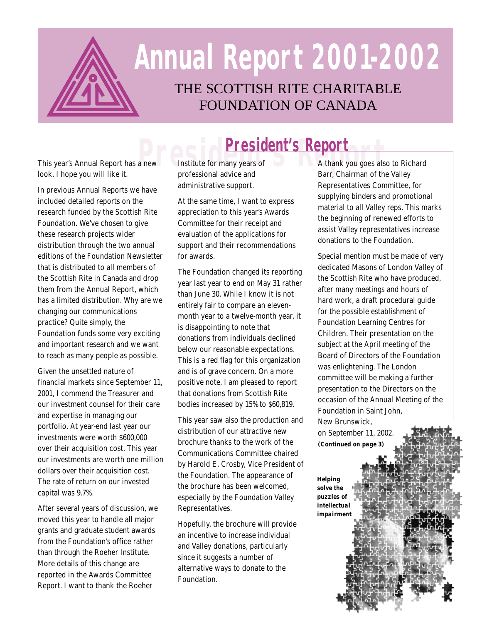

# THE SCOTTISH RITE CHARITABLE **Annual Report 2001-2002**

FOUNDATION OF CANADA

**President's Report**<br>This year's Annual Report has a new Institute for many years of A thank you goes als<br>look. I hope you will like it. professional advice and Barr, Chairman of th

In previous Annual Reports we have included detailed reports on the research funded by the Scottish Rite Foundation. We've chosen to give these research projects wider distribution through the two annual editions of the Foundation Newsletter that is distributed to all members of the Scottish Rite in Canada and drop them from the Annual Report, which has a limited distribution. Why are we changing our communications practice? Quite simply, the Foundation funds some very exciting and important research and we want to reach as many people as possible.

Given the unsettled nature of financial markets since September 11, 2001, I commend the Treasurer and our investment counsel for their care and expertise in managing our portfolio. At year-end last year our investments were worth \$600,000 over their acquisition cost. This year our investments are worth one million dollars over their acquisition cost. The rate of return on our invested capital was 9.7%.

After several years of discussion, we moved this year to handle all major grants and graduate student awards from the Foundation's office rather than through the Roeher Institute. More details of this change are reported in the Awards Committee Report. I want to thank the Roeher

Institute for many years of professional advice and administrative support.

At the same time, I want to express appreciation to this year's Awards Committee for their receipt and evaluation of the applications for support and their recommendations for awards.

The Foundation changed its reporting year last year to end on May 31 rather than June 30. While I know it is not entirely fair to compare an elevenmonth year to a twelve-month year, it is disappointing to note that donations from individuals declined below our reasonable expectations. This is a red flag for this organization and is of grave concern. On a more positive note, I am pleased to report that donations from Scottish Rite bodies increased by 15% to \$60,819.

This year saw also the production and distribution of our attractive new brochure thanks to the work of the Communications Committee chaired by Harold E. Crosby, Vice President of the Foundation. The appearance of the brochure has been welcomed, especially by the Foundation Valley Representatives.

Hopefully, the brochure will provide an incentive to increase individual and Valley donations, particularly since it suggests a number of alternative ways to donate to the Foundation.

A thank you goes also to Richard Barr, Chairman of the Valley Representatives Committee, for supplying binders and promotional material to all Valley reps. This marks the beginning of renewed efforts to assist Valley representatives increase donations to the Foundation.

Special mention must be made of very dedicated Masons of London Valley of the Scottish Rite who have produced, after many meetings and hours of hard work, a draft procedural guide for the possible establishment of Foundation Learning Centres for Children. Their presentation on the subject at the April meeting of the Board of Directors of the Foundation was enlightening. The London committee will be making a further presentation to the Directors on the occasion of the Annual Meeting of the Foundation in Saint John, New Brunswick,

on September 11, 2002. *(Continued on page 3)*

*Helping solve the puzzles of intellectual impairment*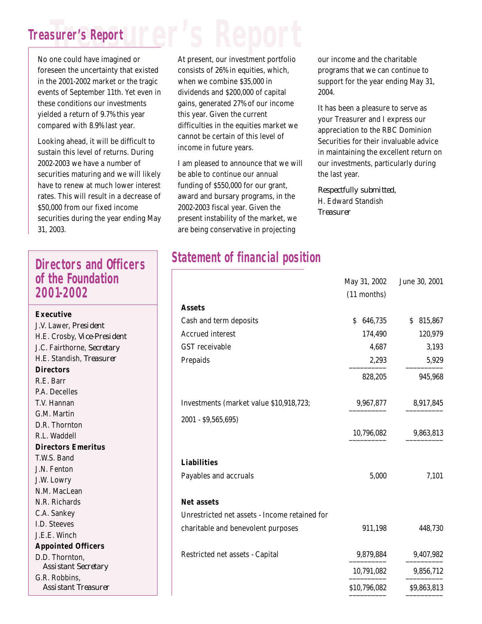### **Treasurer's Report Treasurer's Report**

No one could have imagined or foreseen the uncertainty that existed in the 2001-2002 market or the tragic events of September 11th. Yet even in these conditions our investments yielded a return of 9.7% this year compared with 8.9% last year.

Looking ahead, it will be difficult to sustain this level of returns. During 2002-2003 we have a number of securities maturing and we will likely have to renew at much lower interest rates. This will result in a decrease of \$50,000 from our fixed income securities during the year ending May 31, 2003.

#### **Directors and Officers of the Foundation 2001-2002**

**Executive** J.V. Lawer, *President* H.E. Crosby, *Vice-President* J.C. Fairthorne, *Secretary* H.E. Standish, *Treasurer* **Directors** R.E. Barr P.A. Decelles T.V. Hannan G.M. Martin D.R. Thornton R.L. Waddell **Directors Emeritus** T.W.S. Band J.N. Fenton J.W. Lowry N.M. MacLean N.R. Richards C.A. Sankey I.D. Steeves J.E.E. Winch **Appointed Officers** D.D. Thornton, *Assistant Secretary* G.R. Robbins, *Assistant Treasurer*

At present, our investment portfolio consists of 26% in equities, which, when we combine \$35,000 in dividends and \$200,000 of capital gains, generated 27% of our income this year. Given the current difficulties in the equities market we cannot be certain of this level of income in future years.

I am pleased to announce that we will be able to continue our annual funding of \$550,000 for our grant, award and bursary programs, in the 2002-2003 fiscal year. Given the present instability of the market, we are being conservative in projecting

our income and the charitable programs that we can continue to support for the year ending May 31, 2004.

It has been a pleasure to serve as your Treasurer and I express our appreciation to the RBC Dominion Securities for their invaluable advice in maintaining the excellent return on our investments, particularly during the last year.

May 21, 2002 June 20, 2001

*Respectfully submitted,* H. Edward Standish *Treasurer*

#### **Statement of financial position**

|                                               | <b>IVIAY J1, LUUL</b> | $J$ unte $J_{\nu}$ , $\omega_{\nu}$ |
|-----------------------------------------------|-----------------------|-------------------------------------|
|                                               | (11 months)           |                                     |
| <b>Assets</b>                                 |                       |                                     |
| Cash and term deposits                        | 646,735<br>\$         | \$815,867                           |
| <b>Accrued interest</b>                       | 174,490               | 120,979                             |
| <b>GST</b> receivable                         | 4,687                 | 3,193                               |
| Prepaids                                      | 2,293                 | 5,929                               |
|                                               | 828,205               | 945,968                             |
| Investments (market value \$10,918,723;       | 9,967,877             | 8,917,845                           |
| 2001 - \$9,565,695)                           |                       |                                     |
|                                               | 10,796,082            | 9,863,813                           |
| <b>Liabilities</b>                            |                       |                                     |
| Payables and accruals                         | 5,000                 | 7,101                               |
| <b>Net assets</b>                             |                       |                                     |
| Unrestricted net assets - Income retained for |                       |                                     |
| charitable and benevolent purposes            | 911,198               | 448,730                             |
| Restricted net assets - Capital               | 9,879,884             | 9,407,982                           |
|                                               | 10,791,082            | 9,856,712                           |
|                                               | \$10,796,082          | \$9,863,813                         |
|                                               |                       |                                     |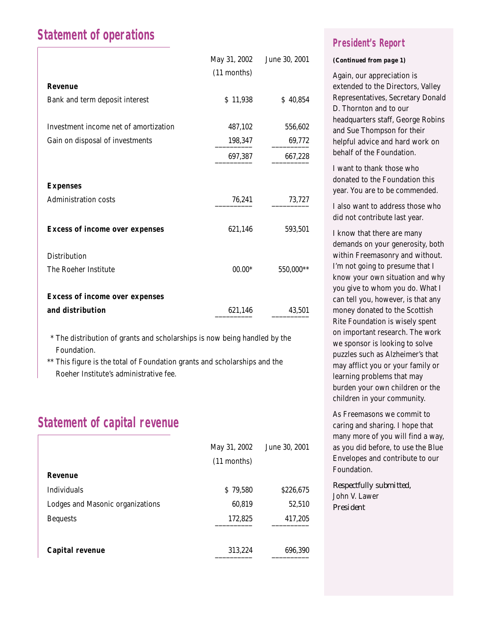#### **Statement of operations**

|                                       | May 31, 2002<br>(11 months) | June 30, 2001 |
|---------------------------------------|-----------------------------|---------------|
| <b>Revenue</b>                        |                             |               |
| Bank and term deposit interest        | \$11,938                    | \$40,854      |
| Investment income net of amortization | 487,102                     | 556,602       |
| Gain on disposal of investments       | 198,347                     | 69,772        |
|                                       | 697,387                     | 667,228       |
| <b>Expenses</b>                       |                             |               |
| <b>Administration costs</b>           | 76,241                      | 73,727        |
| <b>Excess of income over expenses</b> | 621,146                     | 593,501       |
| <b>Distribution</b>                   |                             |               |
| The Roeher Institute                  | $00.00*$                    | 550,000**     |
| <b>Excess of income over expenses</b> |                             |               |
| and distribution                      | 621,146                     | 43,501        |

\*\* The distribution of grants and scholarships is now being handled by the Foundation.

\*\* This figure is the total of Foundation grants and scholarships and the Roeher Institute's administrative fee.

#### **Statement of capital revenue**

|                                  | May 31, 2002  | June 30, 2001 |
|----------------------------------|---------------|---------------|
|                                  | $(11$ months) |               |
| Revenue                          |               |               |
| <b>Individuals</b>               | \$79,580      | \$226,675     |
| Lodges and Masonic organizations | 60,819        | 52,510        |
| <b>Bequests</b>                  | 172,825       | 417,205       |
|                                  |               |               |
| <b>Capital revenue</b>           | 313,224       | 696,390       |

#### **President's Report**

#### *(Continued from page 1)*

Again, our appreciation is extended to the Directors, Valley Representatives, Secretary Donald D. Thornton and to our headquarters staff, George Robins and Sue Thompson for their helpful advice and hard work on behalf of the Foundation.

I want to thank those who donated to the Foundation this year. You are to be commended.

I also want to address those who did not contribute last year.

I know that there are many demands on your generosity, both within Freemasonry and without. I'm not going to presume that I know your own situation and why you give to whom you do. What I can tell you, however, is that any money donated to the Scottish Rite Foundation is wisely spent on important research. The work we sponsor is looking to solve puzzles such as Alzheimer's that may afflict you or your family or learning problems that may burden your own children or the children in your community.

As Freemasons we commit to caring and sharing. I hope that many more of you will find a way, as you did before, to use the Blue Envelopes and contribute to our Foundation.

*Respectfully submitted,* John V. Lawer *President*